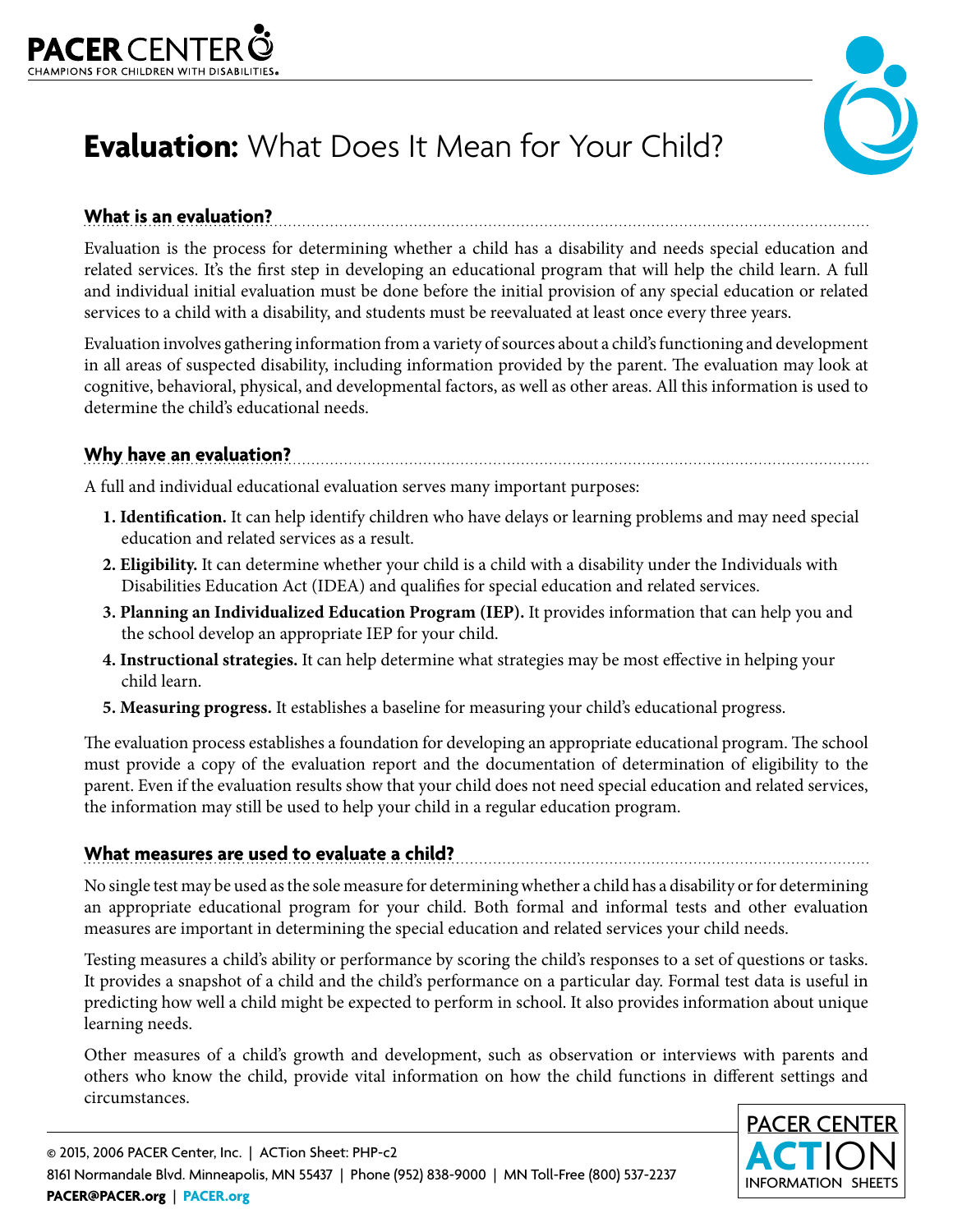



# **Evaluation:** What Does It Mean for Your Child?

# **What is an evaluation?**

Evaluation is the process for determining whether a child has a disability and needs special education and related services. It's the first step in developing an educational program that will help the child learn. A full and individual initial evaluation must be done before the initial provision of any special education or related services to a child with a disability, and students must be reevaluated at least once every three years.

Evaluation involves gathering information from a variety of sources about a child's functioning and development in all areas of suspected disability, including information provided by the parent. The evaluation may look at cognitive, behavioral, physical, and developmental factors, as well as other areas. All this information is used to determine the child's educational needs.

# **Why have an evaluation?**

A full and individual educational evaluation serves many important purposes:

- **1. Identification.** It can help identify children who have delays or learning problems and may need special education and related services as a result.
- **2. Eligibility.** It can determine whether your child is a child with a disability under the Individuals with Disabilities Education Act (IDEA) and qualifies for special education and related services.
- **3. Planning an Individualized Education Program (IEP).** It provides information that can help you and the school develop an appropriate IEP for your child.
- **4. Instructional strategies.** It can help determine what strategies may be most effective in helping your child learn.
- **5. Measuring progress.** It establishes a baseline for measuring your child's educational progress.

The evaluation process establishes a foundation for developing an appropriate educational program. The school must provide a copy of the evaluation report and the documentation of determination of eligibility to the parent. Even if the evaluation results show that your child does not need special education and related services, the information may still be used to help your child in a regular education program.

### **What measures are used to evaluate a child?**

No single test may be used as the sole measure for determining whether a child has a disability or for determining an appropriate educational program for your child. Both formal and informal tests and other evaluation measures are important in determining the special education and related services your child needs.

Testing measures a child's ability or performance by scoring the child's responses to a set of questions or tasks. It provides a snapshot of a child and the child's performance on a particular day. Formal test data is useful in predicting how well a child might be expected to perform in school. It also provides information about unique learning needs.

Other measures of a child's growth and development, such as observation or interviews with parents and others who know the child, provide vital information on how the child functions in different settings and circumstances.

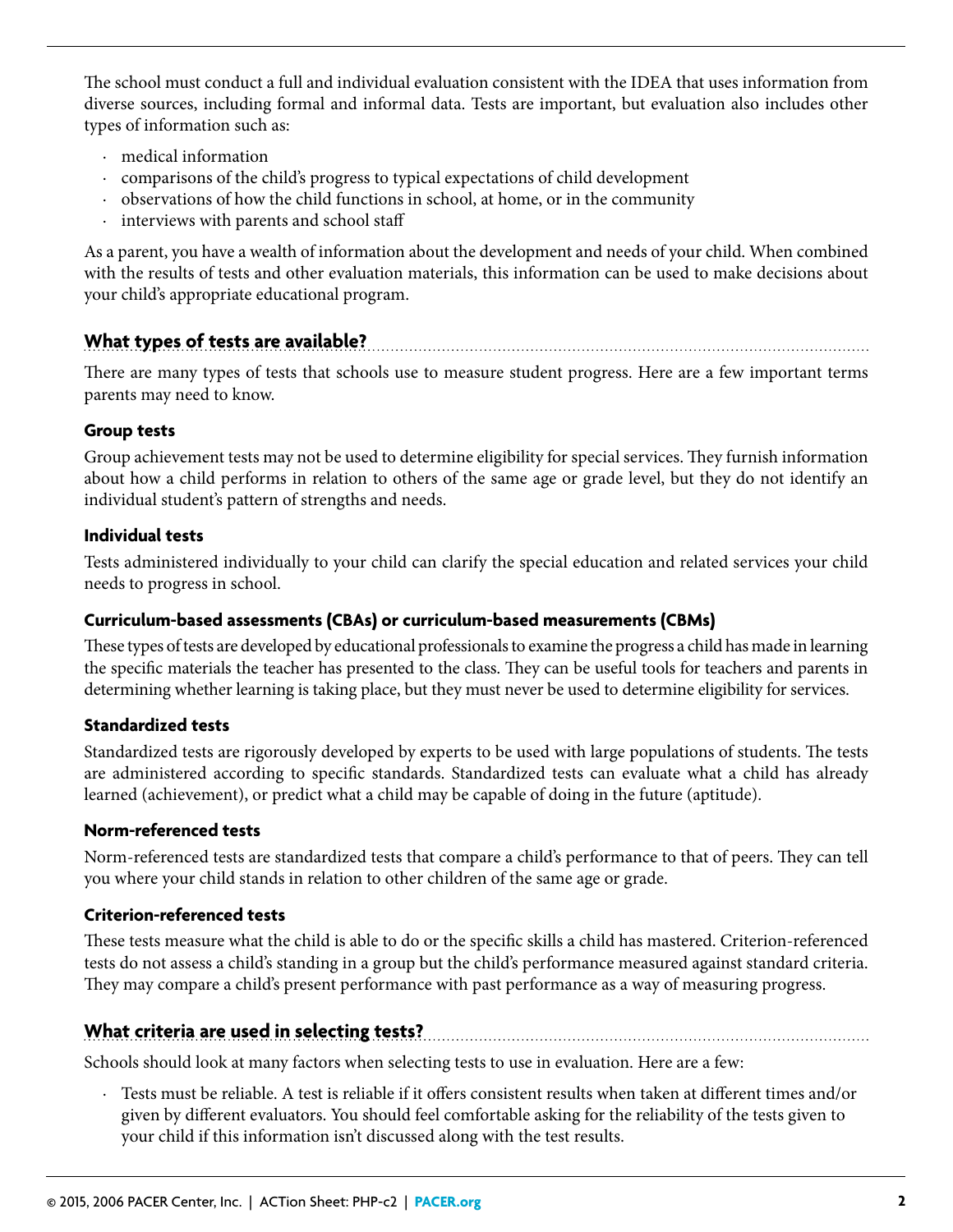The school must conduct a full and individual evaluation consistent with the IDEA that uses information from diverse sources, including formal and informal data. Tests are important, but evaluation also includes other types of information such as:

- · medical information
- · comparisons of the child's progress to typical expectations of child development
- · observations of how the child functions in school, at home, or in the community
- interviews with parents and school staff

As a parent, you have a wealth of information about the development and needs of your child. When combined with the results of tests and other evaluation materials, this information can be used to make decisions about your child's appropriate educational program.

#### **What types of tests are available?**

There are many types of tests that schools use to measure student progress. Here are a few important terms parents may need to know.

### **Group tests**

Group achievement tests may not be used to determine eligibility for special services. They furnish information about how a child performs in relation to others of the same age or grade level, but they do not identify an individual student's pattern of strengths and needs.

### **Individual tests**

Tests administered individually to your child can clarify the special education and related services your child needs to progress in school.

### **Curriculum-based assessments (CBAs) or curriculum-based measurements (CBMs)**

These types of tests are developed by educational professionals to examine the progress a child has made in learning the specific materials the teacher has presented to the class. They can be useful tools for teachers and parents in determining whether learning is taking place, but they must never be used to determine eligibility for services.

### **Standardized tests**

Standardized tests are rigorously developed by experts to be used with large populations of students. The tests are administered according to specific standards. Standardized tests can evaluate what a child has already learned (achievement), or predict what a child may be capable of doing in the future (aptitude).

#### **Norm-referenced tests**

Norm-referenced tests are standardized tests that compare a child's performance to that of peers. They can tell you where your child stands in relation to other children of the same age or grade.

### **Criterion-referenced tests**

These tests measure what the child is able to do or the specific skills a child has mastered. Criterion-referenced tests do not assess a child's standing in a group but the child's performance measured against standard criteria. They may compare a child's present performance with past performance as a way of measuring progress.

### **What criteria are used in selecting tests?**

Schools should look at many factors when selecting tests to use in evaluation. Here are a few:

· Tests must be reliable. A test is reliable if it offers consistent results when taken at different times and/or given by different evaluators. You should feel comfortable asking for the reliability of the tests given to your child if this information isn't discussed along with the test results.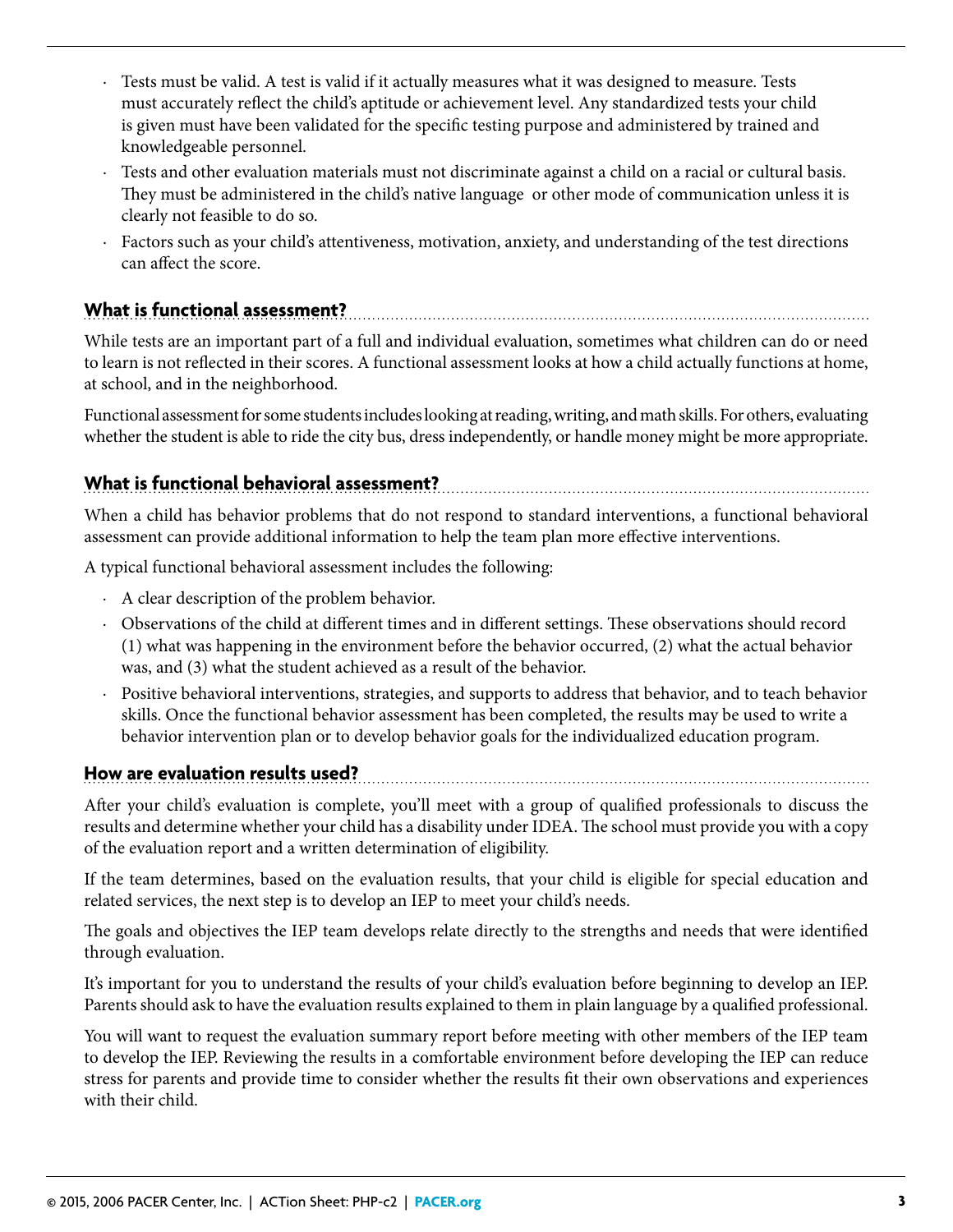- Tests must be valid. A test is valid if it actually measures what it was designed to measure. Tests must accurately reflect the child's aptitude or achievement level. Any standardized tests your child is given must have been validated for the specific testing purpose and administered by trained and knowledgeable personnel.
- · Tests and other evaluation materials must not discriminate against a child on a racial or cultural basis. They must be administered in the child's native language or other mode of communication unless it is clearly not feasible to do so.
- · Factors such as your child's attentiveness, motivation, anxiety, and understanding of the test directions can affect the score.

# **What is functional assessment?**

While tests are an important part of a full and individual evaluation, sometimes what children can do or need to learn is not reflected in their scores. A functional assessment looks at how a child actually functions at home, at school, and in the neighborhood.

Functional assessment for some students includes looking at reading, writing, and math skills. For others, evaluating whether the student is able to ride the city bus, dress independently, or handle money might be more appropriate.

# **What is functional behavioral assessment?**

When a child has behavior problems that do not respond to standard interventions, a functional behavioral assessment can provide additional information to help the team plan more effective interventions.

A typical functional behavioral assessment includes the following:

- · A clear description of the problem behavior.
- · Observations of the child at different times and in different settings. These observations should record (1) what was happening in the environment before the behavior occurred, (2) what the actual behavior was, and (3) what the student achieved as a result of the behavior.
- · Positive behavioral interventions, strategies, and supports to address that behavior, and to teach behavior skills. Once the functional behavior assessment has been completed, the results may be used to write a behavior intervention plan or to develop behavior goals for the individualized education program.

### **How are evaluation results used?**

After your child's evaluation is complete, you'll meet with a group of qualified professionals to discuss the results and determine whether your child has a disability under IDEA. The school must provide you with a copy of the evaluation report and a written determination of eligibility.

If the team determines, based on the evaluation results, that your child is eligible for special education and related services, the next step is to develop an IEP to meet your child's needs.

The goals and objectives the IEP team develops relate directly to the strengths and needs that were identified through evaluation.

It's important for you to understand the results of your child's evaluation before beginning to develop an IEP. Parents should ask to have the evaluation results explained to them in plain language by a qualified professional.

You will want to request the evaluation summary report before meeting with other members of the IEP team to develop the IEP. Reviewing the results in a comfortable environment before developing the IEP can reduce stress for parents and provide time to consider whether the results fit their own observations and experiences with their child.